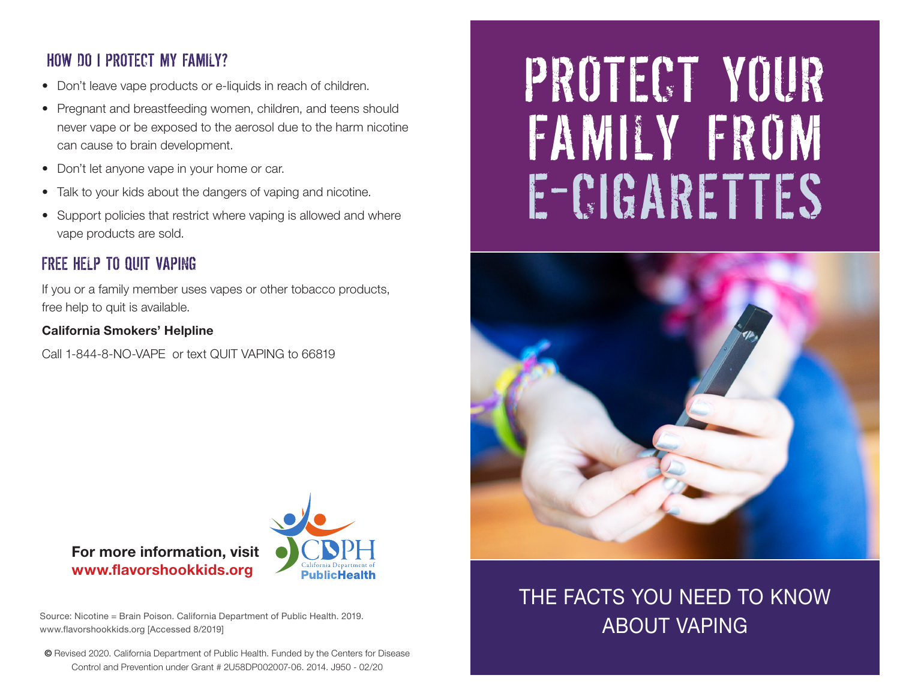#### HOW DO I PROTECT MY FAMILY?

- Don't leave vape products or e-liquids in reach of children.
- Pregnant and breastfeeding women, children, and teens should never vape or be exposed to the aerosol due to the harm nicotine can cause to brain development.
- Don't let anyone vape in your home or car.
- Talk to your kids about the dangers of vaping and nicotine.
- Support policies that restrict where vaping is allowed and where vape products are sold.

#### FREE HELP TO QUIT VAPING

If you or a family member uses vapes or other tobacco products, free help to quit is available.

#### California Smokers' Helpline

Call 1-844-8-NO-VAPE or text QUIT VAPING to 66819



Source: Nicotine = Brain Poison. California Department of Public Health. 2019. www.flavorshookkids.org [Accessed 8/2019]

© Revised 2020. California Department of Public Health. Funded by the Centers for Disease Control and Prevention under Grant # 2U58DP002007-06. 2014. J950 - 02/20

# PROTECT YOUR FAMILY FROM E-CIGARETTES



## THE FACTS YOU NEED TO KNOW ABOUT VAPING